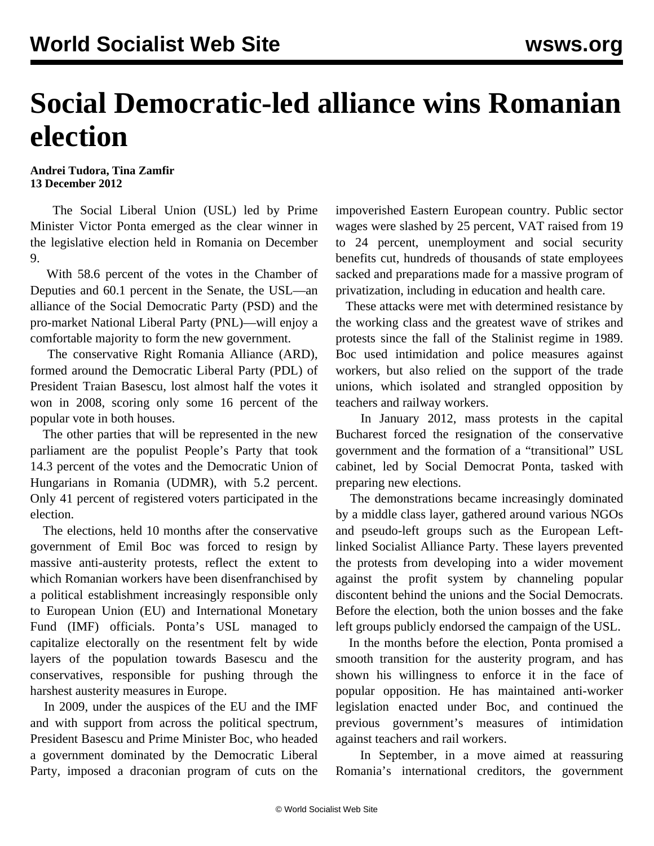## **Social Democratic-led alliance wins Romanian election**

## **Andrei Tudora, Tina Zamfir 13 December 2012**

 The Social Liberal Union (USL) led by Prime Minister Victor Ponta emerged as the clear winner in the legislative election held in Romania on December 9.

 With 58.6 percent of the votes in the Chamber of Deputies and 60.1 percent in the Senate, the USL—an alliance of the Social Democratic Party (PSD) and the pro-market National Liberal Party (PNL)—will enjoy a comfortable majority to form the new government.

 The conservative Right Romania Alliance (ARD), formed around the Democratic Liberal Party (PDL) of President Traian Basescu, lost almost half the votes it won in 2008, scoring only some 16 percent of the popular vote in both houses.

 The other parties that will be represented in the new parliament are the populist People's Party that took 14.3 percent of the votes and the Democratic Union of Hungarians in Romania (UDMR), with 5.2 percent. Only 41 percent of registered voters participated in the election.

 The elections, held 10 months after the conservative government of Emil Boc was forced to resign by massive anti-austerity protests, reflect the extent to which Romanian workers have been disenfranchised by a political establishment increasingly responsible only to European Union (EU) and International Monetary Fund (IMF) officials. Ponta's USL managed to capitalize electorally on the resentment felt by wide layers of the population towards Basescu and the conservatives, responsible for pushing through the harshest austerity measures in Europe.

 In 2009, under the auspices of the EU and the IMF and with support from across the political spectrum, President Basescu and Prime Minister Boc, who headed a government dominated by the Democratic Liberal Party, imposed a draconian program of cuts on the impoverished Eastern European country. Public sector wages were slashed by 25 percent, VAT raised from 19 to 24 percent, unemployment and social security benefits cut, hundreds of thousands of state employees sacked and preparations made for a massive program of privatization, including in education and health care.

 These attacks were met with determined resistance by the working class and the greatest wave of strikes and protests since the fall of the Stalinist regime in 1989. Boc used intimidation and police measures against workers, but also relied on the support of the trade unions, which isolated and strangled opposition by teachers and railway workers.

 In January 2012, mass protests in the capital Bucharest forced the resignation of the conservative government and the formation of a "transitional" USL cabinet, led by Social Democrat Ponta, tasked with preparing new elections.

 The demonstrations became increasingly dominated by a middle class layer, gathered around various NGOs and pseudo-left groups such as the European Leftlinked Socialist Alliance Party. These layers prevented the protests from developing into a wider movement against the profit system by channeling popular discontent behind the unions and the Social Democrats. Before the election, both the union bosses and the fake left groups publicly endorsed the campaign of the USL.

 In the months before the election, Ponta promised a smooth transition for the austerity program, and has shown his willingness to enforce it in the face of popular opposition. He has maintained anti-worker legislation enacted under Boc, and continued the previous government's measures of intimidation against teachers and rail workers.

 In September, in a move aimed at reassuring Romania's international creditors, the government